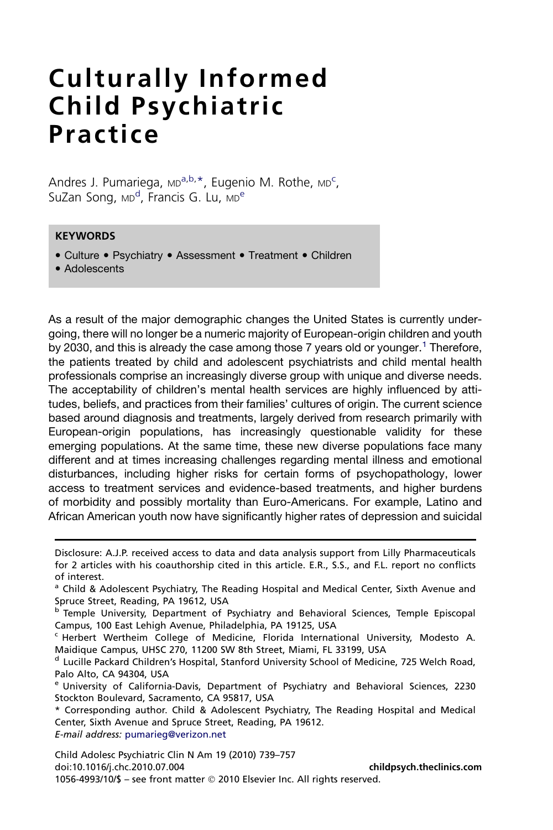# Culturally Informed Child Psychiatric Practice

Andres J. Pumariega, MD<sup>a,b,\*</sup>, Eugenio M. Rothe, MD<sup>c</sup>, SuZan Song, MD<sup>d</sup>, Francis G. Lu, MD<sup>e</sup>

# **KEYWORDS**

- Culture Psychiatry Assessment Treatment Children
- Adolescents

As a result of the major demographic changes the United States is currently undergoing, there will no longer be a numeric majority of European-origin children and youth by 2030, and this is already the case among those 7 years old or younger.[1](#page-13-0) Therefore, the patients treated by child and adolescent psychiatrists and child mental health professionals comprise an increasingly diverse group with unique and diverse needs. The acceptability of children's mental health services are highly influenced by attitudes, beliefs, and practices from their families' cultures of origin. The current science based around diagnosis and treatments, largely derived from research primarily with European-origin populations, has increasingly questionable validity for these emerging populations. At the same time, these new diverse populations face many different and at times increasing challenges regarding mental illness and emotional disturbances, including higher risks for certain forms of psychopathology, lower access to treatment services and evidence-based treatments, and higher burdens of morbidity and possibly mortality than Euro-Americans. For example, Latino and African American youth now have significantly higher rates of depression and suicidal

E-mail address: [pumarieg@verizon.net](mailto:pumarieg@verizon.net)

Child Adolesc Psychiatric Clin N Am 19 (2010) 739–757 doi:10.1016/j.chc.2010.07.004 [childpsych.theclinics.com](http://childpsych.theclinics.com) 1056-4993/10/\$ – see front matter 2010 Elsevier Inc. All rights reserved.

Disclosure: A.J.P. received access to data and data analysis support from Lilly Pharmaceuticals for 2 articles with his coauthorship cited in this article. E.R., S.S., and F.L. report no conflicts of interest.

<sup>&</sup>lt;sup>a</sup> Child & Adolescent Psychiatry, The Reading Hospital and Medical Center, Sixth Avenue and Spruce Street, Reading, PA 19612, USA

<sup>&</sup>lt;sup>b</sup> Temple University, Department of Psychiatry and Behavioral Sciences, Temple Episcopal Campus, 100 East Lehigh Avenue, Philadelphia, PA 19125, USA

<sup>c</sup> Herbert Wertheim College of Medicine, Florida International University, Modesto A. Maidique Campus, UHSC 270, 11200 SW 8th Street, Miami, FL 33199, USA

<sup>d</sup> Lucille Packard Children's Hospital, Stanford University School of Medicine, 725 Welch Road, Palo Alto, CA 94304, USA

<sup>e</sup> University of California-Davis, Department of Psychiatry and Behavioral Sciences, 2230 Stockton Boulevard, Sacramento, CA 95817, USA

<sup>\*</sup> Corresponding author. Child & Adolescent Psychiatry, The Reading Hospital and Medical Center, Sixth Avenue and Spruce Street, Reading, PA 19612.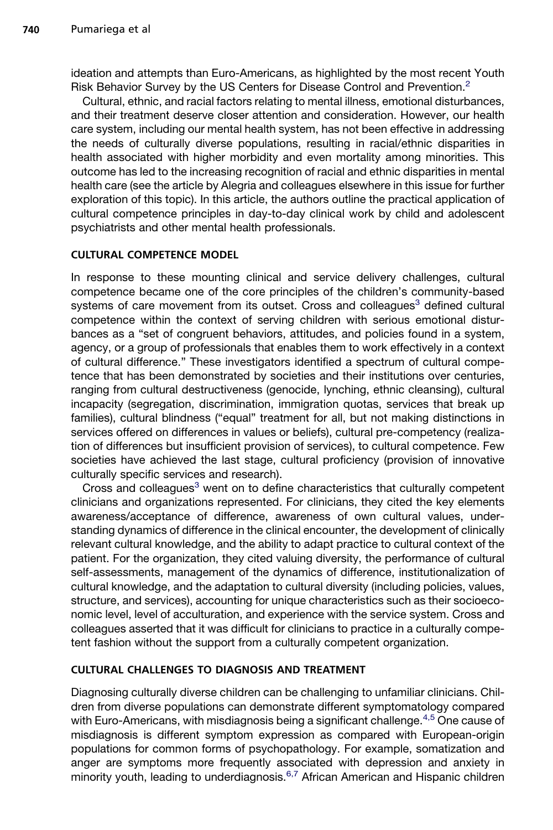ideation and attempts than Euro-Americans, as highlighted by the most recent Youth Risk Behavior Survey by the US Centers for Disease Control and Prevention.<sup>[2](#page-14-0)</sup>

Cultural, ethnic, and racial factors relating to mental illness, emotional disturbances, and their treatment deserve closer attention and consideration. However, our health care system, including our mental health system, has not been effective in addressing the needs of culturally diverse populations, resulting in racial/ethnic disparities in health associated with higher morbidity and even mortality among minorities. This outcome has led to the increasing recognition of racial and ethnic disparities in mental health care (see the article by Alegria and colleagues elsewhere in this issue for further exploration of this topic). In this article, the authors outline the practical application of cultural competence principles in day-to-day clinical work by child and adolescent psychiatrists and other mental health professionals.

# CULTURAL COMPETENCE MODEL

In response to these mounting clinical and service delivery challenges, cultural competence became one of the core principles of the children's community-based systems of care movement from its outset. Cross and colleagues<sup>[3](#page-14-0)</sup> defined cultural competence within the context of serving children with serious emotional disturbances as a "set of congruent behaviors, attitudes, and policies found in a system, agency, or a group of professionals that enables them to work effectively in a context of cultural difference." These investigators identified a spectrum of cultural competence that has been demonstrated by societies and their institutions over centuries, ranging from cultural destructiveness (genocide, lynching, ethnic cleansing), cultural incapacity (segregation, discrimination, immigration quotas, services that break up families), cultural blindness ("equal" treatment for all, but not making distinctions in services offered on differences in values or beliefs), cultural pre-competency (realization of differences but insufficient provision of services), to cultural competence. Few societies have achieved the last stage, cultural proficiency (provision of innovative culturally specific services and research).

Cross and colleagues<sup>[3](#page-14-0)</sup> went on to define characteristics that culturally competent clinicians and organizations represented. For clinicians, they cited the key elements awareness/acceptance of difference, awareness of own cultural values, understanding dynamics of difference in the clinical encounter, the development of clinically relevant cultural knowledge, and the ability to adapt practice to cultural context of the patient. For the organization, they cited valuing diversity, the performance of cultural self-assessments, management of the dynamics of difference, institutionalization of cultural knowledge, and the adaptation to cultural diversity (including policies, values, structure, and services), accounting for unique characteristics such as their socioeconomic level, level of acculturation, and experience with the service system. Cross and colleagues asserted that it was difficult for clinicians to practice in a culturally competent fashion without the support from a culturally competent organization.

# CULTURAL CHALLENGES TO DIAGNOSIS AND TREATMENT

Diagnosing culturally diverse children can be challenging to unfamiliar clinicians. Children from diverse populations can demonstrate different symptomatology compared with Euro-Americans, with misdiagnosis being a significant challenge.<sup>[4,5](#page-14-0)</sup> One cause of misdiagnosis is different symptom expression as compared with European-origin populations for common forms of psychopathology. For example, somatization and anger are symptoms more frequently associated with depression and anxiety in minority youth, leading to underdiagnosis. $6,7$  African American and Hispanic children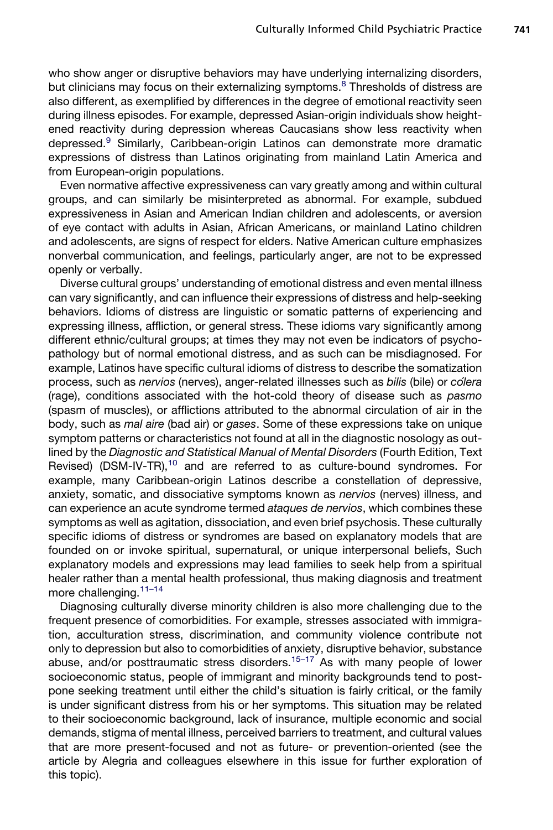who show anger or disruptive behaviors may have underlying internalizing disorders, but clinicians may focus on their externalizing symptoms.<sup>[8](#page-14-0)</sup> Thresholds of distress are also different, as exemplified by differences in the degree of emotional reactivity seen during illness episodes. For example, depressed Asian-origin individuals show heightened reactivity during depression whereas Caucasians show less reactivity when depressed.[9](#page-14-0) Similarly, Caribbean-origin Latinos can demonstrate more dramatic expressions of distress than Latinos originating from mainland Latin America and from European-origin populations.

Even normative affective expressiveness can vary greatly among and within cultural groups, and can similarly be misinterpreted as abnormal. For example, subdued expressiveness in Asian and American Indian children and adolescents, or aversion of eye contact with adults in Asian, African Americans, or mainland Latino children and adolescents, are signs of respect for elders. Native American culture emphasizes nonverbal communication, and feelings, particularly anger, are not to be expressed openly or verbally.

Diverse cultural groups' understanding of emotional distress and even mental illness can vary significantly, and can influence their expressions of distress and help-seeking behaviors. Idioms of distress are linguistic or somatic patterns of experiencing and expressing illness, affliction, or general stress. These idioms vary significantly among different ethnic/cultural groups; at times they may not even be indicators of psychopathology but of normal emotional distress, and as such can be misdiagnosed. For example, Latinos have specific cultural idioms of distress to describe the somatization process, such as *nervios* (nerves), anger-related illnesses such as *bilis* (bile) or *co´lera* (rage), conditions associated with the hot-cold theory of disease such as *pasmo* (spasm of muscles), or afflictions attributed to the abnormal circulation of air in the body, such as *mal aire* (bad air) or *gases*. Some of these expressions take on unique symptom patterns or characteristics not found at all in the diagnostic nosology as outlined by the *Diagnostic and Statistical Manual of Mental Disorders* (Fourth Edition, Text Revised) (DSM-IV-TR), $10$  and are referred to as culture-bound syndromes. For example, many Caribbean-origin Latinos describe a constellation of depressive, anxiety, somatic, and dissociative symptoms known as *nervios* (nerves) illness, and can experience an acute syndrome termed *ataques de nervios*, which combines these symptoms as well as agitation, dissociation, and even brief psychosis. These culturally specific idioms of distress or syndromes are based on explanatory models that are founded on or invoke spiritual, supernatural, or unique interpersonal beliefs, Such explanatory models and expressions may lead families to seek help from a spiritual healer rather than a mental health professional, thus making diagnosis and treatment more challenging.<sup>11-14</sup>

Diagnosing culturally diverse minority children is also more challenging due to the frequent presence of comorbidities. For example, stresses associated with immigration, acculturation stress, discrimination, and community violence contribute not only to depression but also to comorbidities of anxiety, disruptive behavior, substance abuse, and/or posttraumatic stress disorders.<sup>[15–17](#page-14-0)</sup> As with many people of lower socioeconomic status, people of immigrant and minority backgrounds tend to postpone seeking treatment until either the child's situation is fairly critical, or the family is under significant distress from his or her symptoms. This situation may be related to their socioeconomic background, lack of insurance, multiple economic and social demands, stigma of mental illness, perceived barriers to treatment, and cultural values that are more present-focused and not as future- or prevention-oriented (see the article by Alegria and colleagues elsewhere in this issue for further exploration of this topic).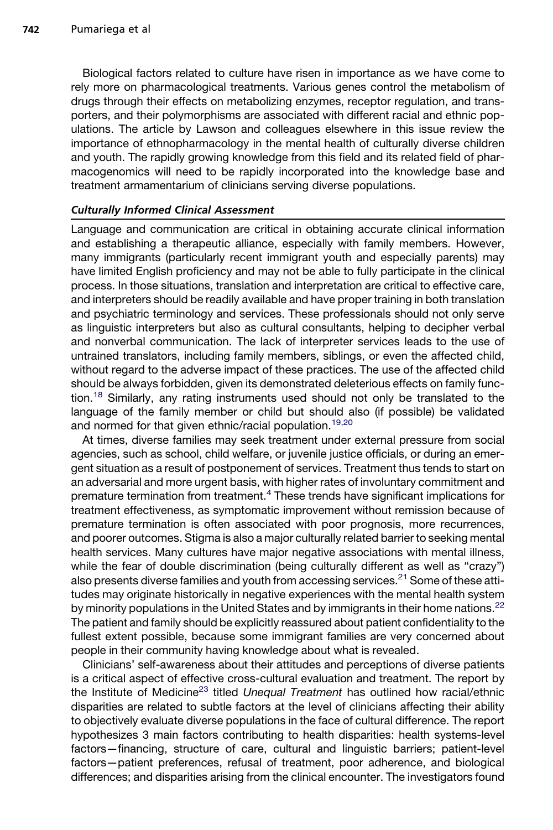Biological factors related to culture have risen in importance as we have come to rely more on pharmacological treatments. Various genes control the metabolism of drugs through their effects on metabolizing enzymes, receptor regulation, and transporters, and their polymorphisms are associated with different racial and ethnic populations. The article by Lawson and colleagues elsewhere in this issue review the importance of ethnopharmacology in the mental health of culturally diverse children and youth. The rapidly growing knowledge from this field and its related field of pharmacogenomics will need to be rapidly incorporated into the knowledge base and treatment armamentarium of clinicians serving diverse populations.

## Culturally Informed Clinical Assessment

Language and communication are critical in obtaining accurate clinical information and establishing a therapeutic alliance, especially with family members. However, many immigrants (particularly recent immigrant youth and especially parents) may have limited English proficiency and may not be able to fully participate in the clinical process. In those situations, translation and interpretation are critical to effective care, and interpreters should be readily available and have proper training in both translation and psychiatric terminology and services. These professionals should not only serve as linguistic interpreters but also as cultural consultants, helping to decipher verbal and nonverbal communication. The lack of interpreter services leads to the use of untrained translators, including family members, siblings, or even the affected child, without regard to the adverse impact of these practices. The use of the affected child should be always forbidden, given its demonstrated deleterious effects on family func-tion.<sup>[18](#page-14-0)</sup> Similarly, any rating instruments used should not only be translated to the language of the family member or child but should also (if possible) be validated and normed for that given ethnic/racial population.<sup>[19,20](#page-14-0)</sup>

At times, diverse families may seek treatment under external pressure from social agencies, such as school, child welfare, or juvenile justice officials, or during an emergent situation as a result of postponement of services. Treatment thus tends to start on an adversarial and more urgent basis, with higher rates of involuntary commitment and premature termination from treatment.[4](#page-14-0) These trends have significant implications for treatment effectiveness, as symptomatic improvement without remission because of premature termination is often associated with poor prognosis, more recurrences, and poorer outcomes. Stigma is also a major culturally related barrier to seeking mental health services. Many cultures have major negative associations with mental illness, while the fear of double discrimination (being culturally different as well as "crazy") also presents diverse families and youth from accessing services.<sup>21</sup> Some of these attitudes may originate historically in negative experiences with the mental health system by minority populations in the United States and by immigrants in their home nations.<sup>[22](#page-15-0)</sup> The patient and family should be explicitly reassured about patient confidentiality to the fullest extent possible, because some immigrant families are very concerned about people in their community having knowledge about what is revealed.

Clinicians' self-awareness about their attitudes and perceptions of diverse patients is a critical aspect of effective cross-cultural evaluation and treatment. The report by the Institute of Medicine<sup>[23](#page-15-0)</sup> titled *Unequal Treatment* has outlined how racial/ethnic disparities are related to subtle factors at the level of clinicians affecting their ability to objectively evaluate diverse populations in the face of cultural difference. The report hypothesizes 3 main factors contributing to health disparities: health systems-level factors—financing, structure of care, cultural and linguistic barriers; patient-level factors—patient preferences, refusal of treatment, poor adherence, and biological differences; and disparities arising from the clinical encounter. The investigators found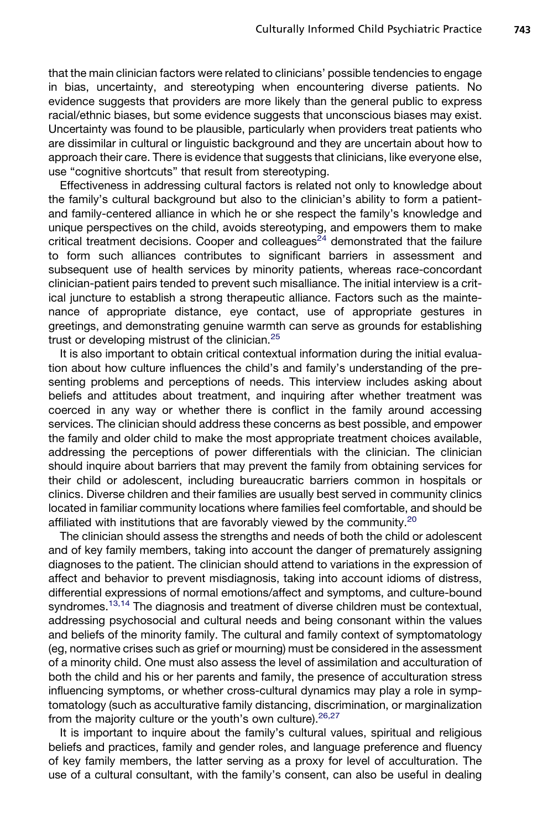that the main clinician factors were related to clinicians' possible tendencies to engage in bias, uncertainty, and stereotyping when encountering diverse patients. No evidence suggests that providers are more likely than the general public to express racial/ethnic biases, but some evidence suggests that unconscious biases may exist. Uncertainty was found to be plausible, particularly when providers treat patients who are dissimilar in cultural or linguistic background and they are uncertain about how to approach their care. There is evidence that suggests that clinicians, like everyone else, use "cognitive shortcuts" that result from stereotyping.

Effectiveness in addressing cultural factors is related not only to knowledge about the family's cultural background but also to the clinician's ability to form a patientand family-centered alliance in which he or she respect the family's knowledge and unique perspectives on the child, avoids stereotyping, and empowers them to make critical treatment decisions. Cooper and colleagues<sup>[24](#page-15-0)</sup> demonstrated that the failure to form such alliances contributes to significant barriers in assessment and subsequent use of health services by minority patients, whereas race-concordant clinician-patient pairs tended to prevent such misalliance. The initial interview is a critical juncture to establish a strong therapeutic alliance. Factors such as the maintenance of appropriate distance, eye contact, use of appropriate gestures in greetings, and demonstrating genuine warmth can serve as grounds for establishing trust or developing mistrust of the clinician.<sup>[25](#page-15-0)</sup>

It is also important to obtain critical contextual information during the initial evaluation about how culture influences the child's and family's understanding of the presenting problems and perceptions of needs. This interview includes asking about beliefs and attitudes about treatment, and inquiring after whether treatment was coerced in any way or whether there is conflict in the family around accessing services. The clinician should address these concerns as best possible, and empower the family and older child to make the most appropriate treatment choices available, addressing the perceptions of power differentials with the clinician. The clinician should inquire about barriers that may prevent the family from obtaining services for their child or adolescent, including bureaucratic barriers common in hospitals or clinics. Diverse children and their families are usually best served in community clinics located in familiar community locations where families feel comfortable, and should be affiliated with institutions that are favorably viewed by the community.<sup>[20](#page-15-0)</sup>

The clinician should assess the strengths and needs of both the child or adolescent and of key family members, taking into account the danger of prematurely assigning diagnoses to the patient. The clinician should attend to variations in the expression of affect and behavior to prevent misdiagnosis, taking into account idioms of distress, differential expressions of normal emotions/affect and symptoms, and culture-bound syndromes.<sup>[13,14](#page-14-0)</sup> The diagnosis and treatment of diverse children must be contextual, addressing psychosocial and cultural needs and being consonant within the values and beliefs of the minority family. The cultural and family context of symptomatology (eg, normative crises such as grief or mourning) must be considered in the assessment of a minority child. One must also assess the level of assimilation and acculturation of both the child and his or her parents and family, the presence of acculturation stress influencing symptoms, or whether cross-cultural dynamics may play a role in symptomatology (such as acculturative family distancing, discrimination, or marginalization from the majority culture or the youth's own culture).<sup>[26,27](#page-15-0)</sup>

It is important to inquire about the family's cultural values, spiritual and religious beliefs and practices, family and gender roles, and language preference and fluency of key family members, the latter serving as a proxy for level of acculturation. The use of a cultural consultant, with the family's consent, can also be useful in dealing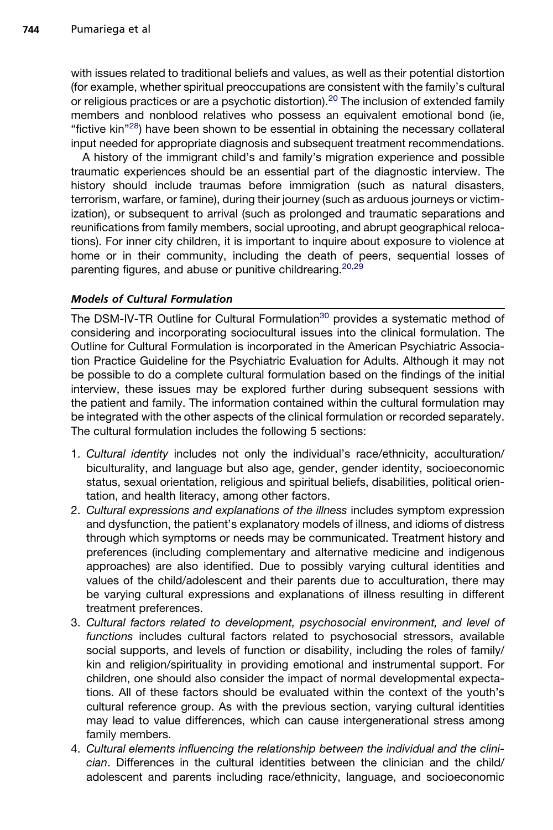with issues related to traditional beliefs and values, as well as their potential distortion (for example, whether spiritual preoccupations are consistent with the family's cultural or religious practices or are a psychotic distortion).<sup>[20](#page-15-0)</sup> The inclusion of extended family members and nonblood relatives who possess an equivalent emotional bond (ie, "fictive kin"<sup>[28](#page-15-0)</sup>) have been shown to be essential in obtaining the necessary collateral input needed for appropriate diagnosis and subsequent treatment recommendations.

A history of the immigrant child's and family's migration experience and possible traumatic experiences should be an essential part of the diagnostic interview. The history should include traumas before immigration (such as natural disasters, terrorism, warfare, or famine), during their journey (such as arduous journeys or victimization), or subsequent to arrival (such as prolonged and traumatic separations and reunifications from family members, social uprooting, and abrupt geographical relocations). For inner city children, it is important to inquire about exposure to violence at home or in their community, including the death of peers, sequential losses of parenting figures, and abuse or punitive childrearing.<sup>[20,29](#page-15-0)</sup>

# Models of Cultural Formulation

The DSM-IV-TR Outline for Cultural Formulation $30$  provides a systematic method of considering and incorporating sociocultural issues into the clinical formulation. The Outline for Cultural Formulation is incorporated in the American Psychiatric Association Practice Guideline for the Psychiatric Evaluation for Adults. Although it may not be possible to do a complete cultural formulation based on the findings of the initial interview, these issues may be explored further during subsequent sessions with the patient and family. The information contained within the cultural formulation may be integrated with the other aspects of the clinical formulation or recorded separately. The cultural formulation includes the following 5 sections:

- 1. *Cultural identity* includes not only the individual's race/ethnicity, acculturation/ biculturality, and language but also age, gender, gender identity, socioeconomic status, sexual orientation, religious and spiritual beliefs, disabilities, political orientation, and health literacy, among other factors.
- 2. *Cultural expressions and explanations of the illness* includes symptom expression and dysfunction, the patient's explanatory models of illness, and idioms of distress through which symptoms or needs may be communicated. Treatment history and preferences (including complementary and alternative medicine and indigenous approaches) are also identified. Due to possibly varying cultural identities and values of the child/adolescent and their parents due to acculturation, there may be varying cultural expressions and explanations of illness resulting in different treatment preferences.
- 3. *Cultural factors related to development, psychosocial environment, and level of functions* includes cultural factors related to psychosocial stressors, available social supports, and levels of function or disability, including the roles of family/ kin and religion/spirituality in providing emotional and instrumental support. For children, one should also consider the impact of normal developmental expectations. All of these factors should be evaluated within the context of the youth's cultural reference group. As with the previous section, varying cultural identities may lead to value differences, which can cause intergenerational stress among family members.
- 4. *Cultural elements influencing the relationship between the individual and the clinician*. Differences in the cultural identities between the clinician and the child/ adolescent and parents including race/ethnicity, language, and socioeconomic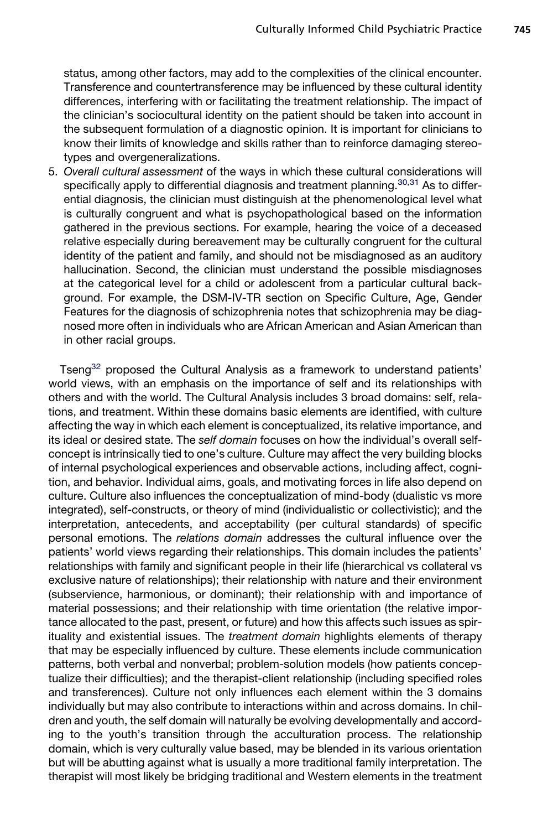status, among other factors, may add to the complexities of the clinical encounter. Transference and countertransference may be influenced by these cultural identity differences, interfering with or facilitating the treatment relationship. The impact of the clinician's sociocultural identity on the patient should be taken into account in the subsequent formulation of a diagnostic opinion. It is important for clinicians to know their limits of knowledge and skills rather than to reinforce damaging stereotypes and overgeneralizations.

5. *Overall cultural assessment* of the ways in which these cultural considerations will specifically apply to differential diagnosis and treatment planning.<sup>[30,31](#page-15-0)</sup> As to differential diagnosis, the clinician must distinguish at the phenomenological level what is culturally congruent and what is psychopathological based on the information gathered in the previous sections. For example, hearing the voice of a deceased relative especially during bereavement may be culturally congruent for the cultural identity of the patient and family, and should not be misdiagnosed as an auditory hallucination. Second, the clinician must understand the possible misdiagnoses at the categorical level for a child or adolescent from a particular cultural background. For example, the DSM-IV-TR section on Specific Culture, Age, Gender Features for the diagnosis of schizophrenia notes that schizophrenia may be diagnosed more often in individuals who are African American and Asian American than in other racial groups.

Tseng<sup>[32](#page-15-0)</sup> proposed the Cultural Analysis as a framework to understand patients' world views, with an emphasis on the importance of self and its relationships with others and with the world. The Cultural Analysis includes 3 broad domains: self, relations, and treatment. Within these domains basic elements are identified, with culture affecting the way in which each element is conceptualized, its relative importance, and its ideal or desired state. The *self domain* focuses on how the individual's overall selfconcept is intrinsically tied to one's culture. Culture may affect the very building blocks of internal psychological experiences and observable actions, including affect, cognition, and behavior. Individual aims, goals, and motivating forces in life also depend on culture. Culture also influences the conceptualization of mind-body (dualistic vs more integrated), self-constructs, or theory of mind (individualistic or collectivistic); and the interpretation, antecedents, and acceptability (per cultural standards) of specific personal emotions. The *relations domain* addresses the cultural influence over the patients' world views regarding their relationships. This domain includes the patients' relationships with family and significant people in their life (hierarchical vs collateral vs exclusive nature of relationships); their relationship with nature and their environment (subservience, harmonious, or dominant); their relationship with and importance of material possessions; and their relationship with time orientation (the relative importance allocated to the past, present, or future) and how this affects such issues as spirituality and existential issues. The *treatment domain* highlights elements of therapy that may be especially influenced by culture. These elements include communication patterns, both verbal and nonverbal; problem-solution models (how patients conceptualize their difficulties); and the therapist-client relationship (including specified roles and transferences). Culture not only influences each element within the 3 domains individually but may also contribute to interactions within and across domains. In children and youth, the self domain will naturally be evolving developmentally and according to the youth's transition through the acculturation process. The relationship domain, which is very culturally value based, may be blended in its various orientation but will be abutting against what is usually a more traditional family interpretation. The therapist will most likely be bridging traditional and Western elements in the treatment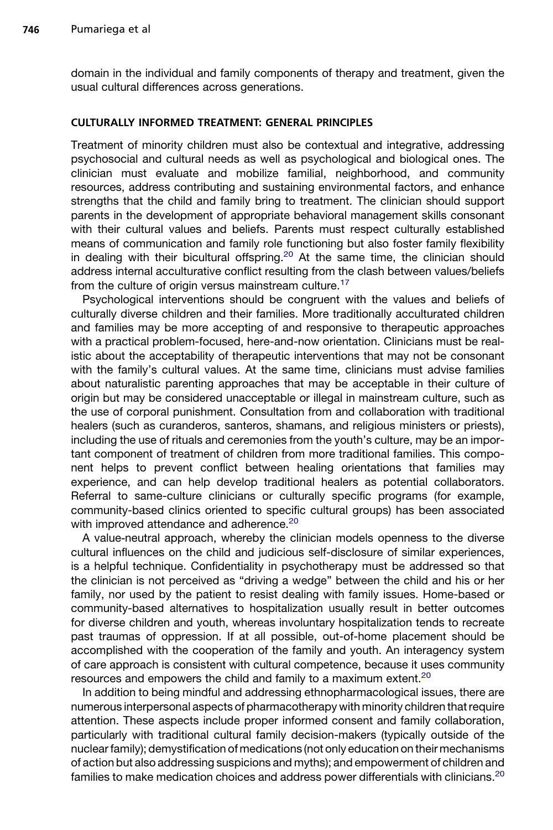domain in the individual and family components of therapy and treatment, given the usual cultural differences across generations.

#### CULTURALLY INFORMED TREATMENT: GENERAL PRINCIPLES

Treatment of minority children must also be contextual and integrative, addressing psychosocial and cultural needs as well as psychological and biological ones. The clinician must evaluate and mobilize familial, neighborhood, and community resources, address contributing and sustaining environmental factors, and enhance strengths that the child and family bring to treatment. The clinician should support parents in the development of appropriate behavioral management skills consonant with their cultural values and beliefs. Parents must respect culturally established means of communication and family role functioning but also foster family flexibility in dealing with their bicultural offspring.<sup>[20](#page-15-0)</sup> At the same time, the clinician should address internal acculturative conflict resulting from the clash between values/beliefs from the culture of origin versus mainstream culture.<sup>[17](#page-14-0)</sup>

Psychological interventions should be congruent with the values and beliefs of culturally diverse children and their families. More traditionally acculturated children and families may be more accepting of and responsive to therapeutic approaches with a practical problem-focused, here-and-now orientation. Clinicians must be realistic about the acceptability of therapeutic interventions that may not be consonant with the family's cultural values. At the same time, clinicians must advise families about naturalistic parenting approaches that may be acceptable in their culture of origin but may be considered unacceptable or illegal in mainstream culture, such as the use of corporal punishment. Consultation from and collaboration with traditional healers (such as curanderos, santeros, shamans, and religious ministers or priests), including the use of rituals and ceremonies from the youth's culture, may be an important component of treatment of children from more traditional families. This component helps to prevent conflict between healing orientations that families may experience, and can help develop traditional healers as potential collaborators. Referral to same-culture clinicians or culturally specific programs (for example, community-based clinics oriented to specific cultural groups) has been associated with improved attendance and adherence.<sup>[20](#page-15-0)</sup>

A value‑neutral approach, whereby the clinician models openness to the diverse cultural influences on the child and judicious self-disclosure of similar experiences, is a helpful technique. Confidentiality in psychotherapy must be addressed so that the clinician is not perceived as "driving a wedge" between the child and his or her family, nor used by the patient to resist dealing with family issues. Home-based or community-based alternatives to hospitalization usually result in better outcomes for diverse children and youth, whereas involuntary hospitalization tends to recreate past traumas of oppression. If at all possible, out-of-home placement should be accomplished with the cooperation of the family and youth. An interagency system of care approach is consistent with cultural competence, because it uses community resources and empowers the child and family to a maximum extent.<sup>[20](#page-15-0)</sup>

In addition to being mindful and addressing ethnopharmacological issues, there are numerous interpersonal aspects of pharmacotherapy with minority children that require attention. These aspects include proper informed consent and family collaboration, particularly with traditional cultural family decision-makers (typically outside of the nuclear family); demystification of medications (not only education on their mechanisms of action but also addressing suspicions and myths); and empowerment of children and families to make medication choices and address power differentials with clinicians.<sup>[20](#page-15-0)</sup>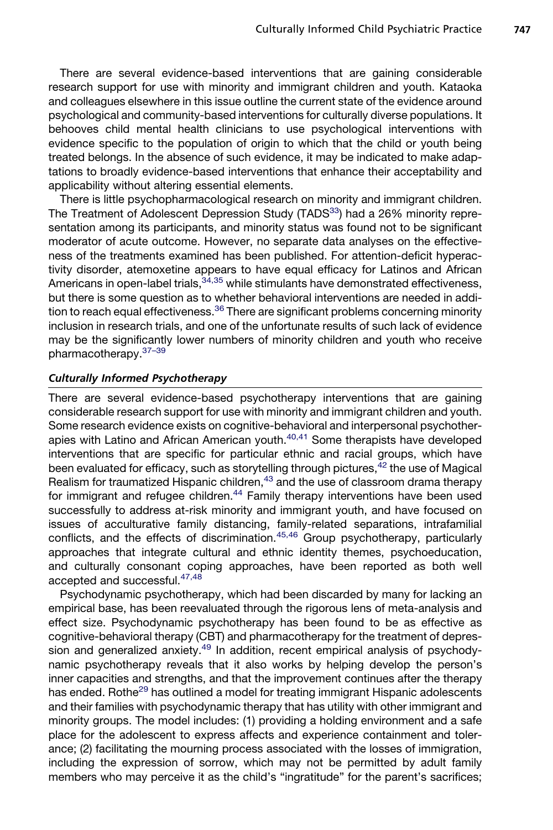There are several evidence-based interventions that are gaining considerable research support for use with minority and immigrant children and youth. Kataoka and colleagues elsewhere in this issue outline the current state of the evidence around psychological and community-based interventions for culturally diverse populations. It behooves child mental health clinicians to use psychological interventions with evidence specific to the population of origin to which that the child or youth being treated belongs. In the absence of such evidence, it may be indicated to make adaptations to broadly evidence-based interventions that enhance their acceptability and applicability without altering essential elements.

There is little psychopharmacological research on minority and immigrant children. The Treatment of Adolescent Depression Study (TADS<sup>33</sup>) had a 26% minority representation among its participants, and minority status was found not to be significant moderator of acute outcome. However, no separate data analyses on the effectiveness of the treatments examined has been published. For attention-deficit hyperactivity disorder, atemoxetine appears to have equal efficacy for Latinos and African Americans in open-label trials,  $34,35$  while stimulants have demonstrated effectiveness, but there is some question as to whether behavioral interventions are needed in addi-tion to reach equal effectiveness.<sup>[36](#page-15-0)</sup> There are significant problems concerning minority inclusion in research trials, and one of the unfortunate results of such lack of evidence may be the significantly lower numbers of minority children and youth who receive pharmacotherapy.[37–39](#page-15-0)

#### Culturally Informed Psychotherapy

There are several evidence-based psychotherapy interventions that are gaining considerable research support for use with minority and immigrant children and youth. Some research evidence exists on cognitive-behavioral and interpersonal psychotherapies with Latino and African American youth.[40,41](#page-16-0) Some therapists have developed interventions that are specific for particular ethnic and racial groups, which have been evaluated for efficacy, such as storytelling through pictures,<sup>[42](#page-16-0)</sup> the use of Magical Realism for traumatized Hispanic children,<sup>[43](#page-16-0)</sup> and the use of classroom drama therapy for immigrant and refugee children.<sup>[44](#page-16-0)</sup> Family therapy interventions have been used successfully to address at-risk minority and immigrant youth, and have focused on issues of acculturative family distancing, family-related separations, intrafamilial conflicts, and the effects of discrimination. $45,46$  Group psychotherapy, particularly approaches that integrate cultural and ethnic identity themes, psychoeducation, and culturally consonant coping approaches, have been reported as both well accepted and successful.[47,48](#page-16-0)

Psychodynamic psychotherapy, which had been discarded by many for lacking an empirical base, has been reevaluated through the rigorous lens of meta-analysis and effect size. Psychodynamic psychotherapy has been found to be as effective as cognitive-behavioral therapy (CBT) and pharmacotherapy for the treatment of depres-sion and generalized anxiety.<sup>[49](#page-16-0)</sup> In addition, recent empirical analysis of psychodynamic psychotherapy reveals that it also works by helping develop the person's inner capacities and strengths, and that the improvement continues after the therapy has ended. Rothe<sup>[29](#page-15-0)</sup> has outlined a model for treating immigrant Hispanic adolescents and their families with psychodynamic therapy that has utility with other immigrant and minority groups. The model includes: (1) providing a holding environment and a safe place for the adolescent to express affects and experience containment and tolerance; (2) facilitating the mourning process associated with the losses of immigration, including the expression of sorrow, which may not be permitted by adult family members who may perceive it as the child's "ingratitude" for the parent's sacrifices;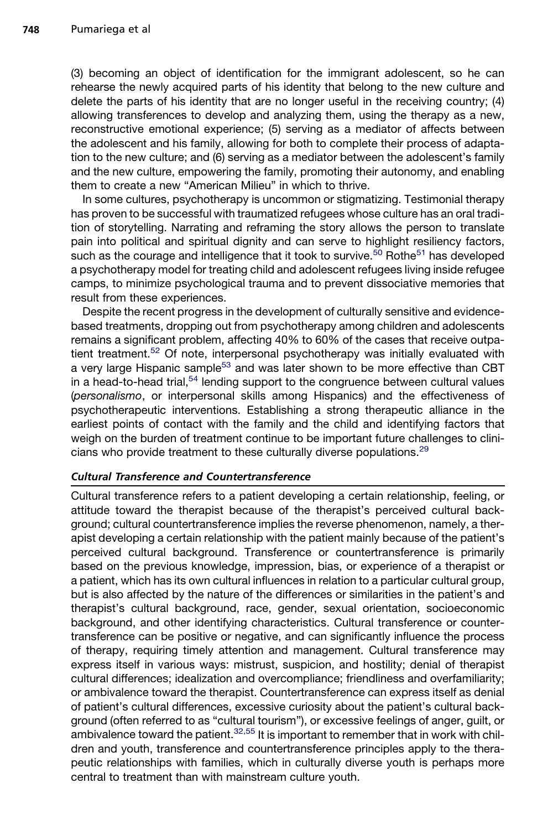(3) becoming an object of identification for the immigrant adolescent, so he can rehearse the newly acquired parts of his identity that belong to the new culture and delete the parts of his identity that are no longer useful in the receiving country; (4) allowing transferences to develop and analyzing them, using the therapy as a new, reconstructive emotional experience; (5) serving as a mediator of affects between the adolescent and his family, allowing for both to complete their process of adaptation to the new culture; and (6) serving as a mediator between the adolescent's family and the new culture, empowering the family, promoting their autonomy, and enabling them to create a new "American Milieu" in which to thrive.

In some cultures, psychotherapy is uncommon or stigmatizing. Testimonial therapy has proven to be successful with traumatized refugees whose culture has an oral tradition of storytelling. Narrating and reframing the story allows the person to translate pain into political and spiritual dignity and can serve to highlight resiliency factors, such as the courage and intelligence that it took to survive.<sup>[50](#page-16-0)</sup> Rothe<sup>[51](#page-16-0)</sup> has developed a psychotherapy model for treating child and adolescent refugees living inside refugee camps, to minimize psychological trauma and to prevent dissociative memories that result from these experiences.

Despite the recent progress in the development of culturally sensitive and evidencebased treatments, dropping out from psychotherapy among children and adolescents remains a significant problem, affecting 40% to 60% of the cases that receive outpatient treatment.[52](#page-16-0) Of note, interpersonal psychotherapy was initially evaluated with a very large Hispanic sample<sup>[53](#page-16-0)</sup> and was later shown to be more effective than CBT in a head-to-head trial, $54$  lending support to the congruence between cultural values (*personalismo*, or interpersonal skills among Hispanics) and the effectiveness of psychotherapeutic interventions. Establishing a strong therapeutic alliance in the earliest points of contact with the family and the child and identifying factors that weigh on the burden of treatment continue to be important future challenges to clinicians who provide treatment to these culturally diverse populations.[29](#page-15-0)

#### Cultural Transference and Countertransference

Cultural transference refers to a patient developing a certain relationship, feeling, or attitude toward the therapist because of the therapist's perceived cultural background; cultural countertransference implies the reverse phenomenon, namely, a therapist developing a certain relationship with the patient mainly because of the patient's perceived cultural background. Transference or countertransference is primarily based on the previous knowledge, impression, bias, or experience of a therapist or a patient, which has its own cultural influences in relation to a particular cultural group, but is also affected by the nature of the differences or similarities in the patient's and therapist's cultural background, race, gender, sexual orientation, socioeconomic background, and other identifying characteristics. Cultural transference or countertransference can be positive or negative, and can significantly influence the process of therapy, requiring timely attention and management. Cultural transference may express itself in various ways: mistrust, suspicion, and hostility; denial of therapist cultural differences; idealization and overcompliance; friendliness and overfamiliarity; or ambivalence toward the therapist. Countertransference can express itself as denial of patient's cultural differences, excessive curiosity about the patient's cultural background (often referred to as "cultural tourism"), or excessive feelings of anger, guilt, or ambivalence toward the patient. $32,55$  It is important to remember that in work with children and youth, transference and countertransference principles apply to the therapeutic relationships with families, which in culturally diverse youth is perhaps more central to treatment than with mainstream culture youth.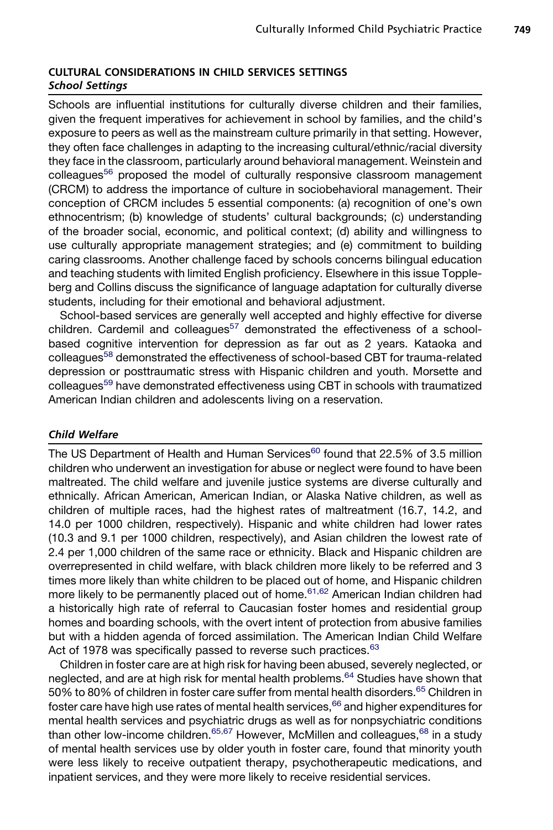# CULTURAL CONSIDERATIONS IN CHILD SERVICES SETTINGS School Settings

Schools are influential institutions for culturally diverse children and their families, given the frequent imperatives for achievement in school by families, and the child's exposure to peers as well as the mainstream culture primarily in that setting. However, they often face challenges in adapting to the increasing cultural/ethnic/racial diversity they face in the classroom, particularly around behavioral management. Weinstein and colleagues<sup>[56](#page-16-0)</sup> proposed the model of culturally responsive classroom management (CRCM) to address the importance of culture in sociobehavioral management. Their conception of CRCM includes 5 essential components: (a) recognition of one's own ethnocentrism; (b) knowledge of students' cultural backgrounds; (c) understanding of the broader social, economic, and political context; (d) ability and willingness to use culturally appropriate management strategies; and (e) commitment to building caring classrooms. Another challenge faced by schools concerns bilingual education and teaching students with limited English proficiency. Elsewhere in this issue Toppleberg and Collins discuss the significance of language adaptation for culturally diverse students, including for their emotional and behavioral adjustment.

School-based services are generally well accepted and highly effective for diverse children. Cardemil and colleagues<sup>[57](#page-16-0)</sup> demonstrated the effectiveness of a schoolbased cognitive intervention for depression as far out as 2 years. Kataoka and colleagues<sup>[58](#page-16-0)</sup> demonstrated the effectiveness of school-based CBT for trauma-related depression or posttraumatic stress with Hispanic children and youth. Morsette and colleagues<sup>[59](#page-16-0)</sup> have demonstrated effectiveness using CBT in schools with traumatized American Indian children and adolescents living on a reservation.

# Child Welfare

The US Department of Health and Human Services<sup>[60](#page-16-0)</sup> found that 22.5% of 3.5 million children who underwent an investigation for abuse or neglect were found to have been maltreated. The child welfare and juvenile justice systems are diverse culturally and ethnically. African American, American Indian, or Alaska Native children, as well as children of multiple races, had the highest rates of maltreatment (16.7, 14.2, and 14.0 per 1000 children, respectively). Hispanic and white children had lower rates (10.3 and 9.1 per 1000 children, respectively), and Asian children the lowest rate of 2.4 per 1,000 children of the same race or ethnicity. Black and Hispanic children are overrepresented in child welfare, with black children more likely to be referred and 3 times more likely than white children to be placed out of home, and Hispanic children more likely to be permanently placed out of home.<sup>[61,62](#page-17-0)</sup> American Indian children had a historically high rate of referral to Caucasian foster homes and residential group homes and boarding schools, with the overt intent of protection from abusive families but with a hidden agenda of forced assimilation. The American Indian Child Welfare Act of 1978 was specifically passed to reverse such practices.<sup>[63](#page-17-0)</sup>

Children in foster care are at high risk for having been abused, severely neglected, or neglected, and are at high risk for mental health problems.<sup>64</sup> Studies have shown that 50% to 80% of children in foster care suffer from mental health disorders.<sup>65</sup> Children in foster care have high use rates of mental health services, [66](#page-17-0) and higher expenditures for mental health services and psychiatric drugs as well as for nonpsychiatric conditions than other low-income children.<sup>[65,67](#page-17-0)</sup> However, McMillen and colleagues,  $68$  in a study of mental health services use by older youth in foster care, found that minority youth were less likely to receive outpatient therapy, psychotherapeutic medications, and inpatient services, and they were more likely to receive residential services.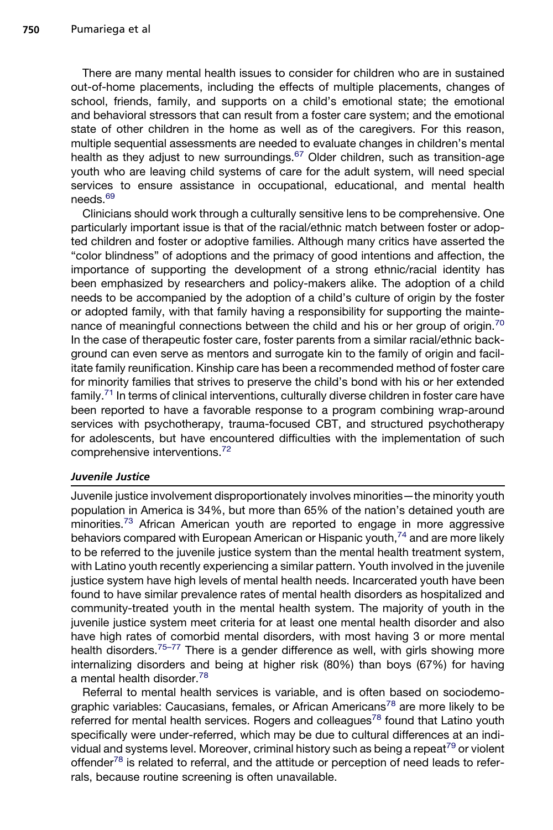There are many mental health issues to consider for children who are in sustained out-of-home placements, including the effects of multiple placements, changes of school, friends, family, and supports on a child's emotional state; the emotional and behavioral stressors that can result from a foster care system; and the emotional state of other children in the home as well as of the caregivers. For this reason, multiple sequential assessments are needed to evaluate changes in children's mental health as they adjust to new surroundings.<sup>[67](#page-17-0)</sup> Older children, such as transition-age youth who are leaving child systems of care for the adult system, will need special services to ensure assistance in occupational, educational, and mental health needs.[69](#page-17-0)

Clinicians should work through a culturally sensitive lens to be comprehensive. One particularly important issue is that of the racial/ethnic match between foster or adopted children and foster or adoptive families. Although many critics have asserted the "color blindness" of adoptions and the primacy of good intentions and affection, the importance of supporting the development of a strong ethnic/racial identity has been emphasized by researchers and policy-makers alike. The adoption of a child needs to be accompanied by the adoption of a child's culture of origin by the foster or adopted family, with that family having a responsibility for supporting the mainte-nance of meaningful connections between the child and his or her group of origin.<sup>[70](#page-17-0)</sup> In the case of therapeutic foster care, foster parents from a similar racial/ethnic background can even serve as mentors and surrogate kin to the family of origin and facilitate family reunification. Kinship care has been a recommended method of foster care for minority families that strives to preserve the child's bond with his or her extended family.<sup>71</sup> In terms of clinical interventions, culturally diverse children in foster care have been reported to have a favorable response to a program combining wrap-around services with psychotherapy, trauma-focused CBT, and structured psychotherapy for adolescents, but have encountered difficulties with the implementation of such comprehensive interventions.[72](#page-17-0)

## Juvenile Justice

Juvenile justice involvement disproportionately involves minorities—the minority youth population in America is 34%, but more than 65% of the nation's detained youth are minorities.<sup>[73](#page-17-0)</sup> African American youth are reported to engage in more aggressive behaviors compared with European American or Hispanic youth, $^{74}$  $^{74}$  $^{74}$  and are more likely to be referred to the juvenile justice system than the mental health treatment system, with Latino youth recently experiencing a similar pattern. Youth involved in the juvenile justice system have high levels of mental health needs. Incarcerated youth have been found to have similar prevalence rates of mental health disorders as hospitalized and community-treated youth in the mental health system. The majority of youth in the juvenile justice system meet criteria for at least one mental health disorder and also have high rates of comorbid mental disorders, with most having 3 or more mental health disorders.<sup>[75–77](#page-17-0)</sup> There is a gender difference as well, with girls showing more internalizing disorders and being at higher risk (80%) than boys (67%) for having a mental health disorder.[78](#page-17-0)

Referral to mental health services is variable, and is often based on sociodemo-graphic variables: Caucasians, females, or African Americans<sup>[78](#page-17-0)</sup> are more likely to be referred for mental health services. Rogers and colleagues<sup>[78](#page-17-0)</sup> found that Latino youth specifically were under-referred, which may be due to cultural differences at an indi-vidual and systems level. Moreover, criminal history such as being a repeat<sup>[79](#page-17-0)</sup> or violent offender<sup>[78](#page-17-0)</sup> is related to referral, and the attitude or perception of need leads to referrals, because routine screening is often unavailable.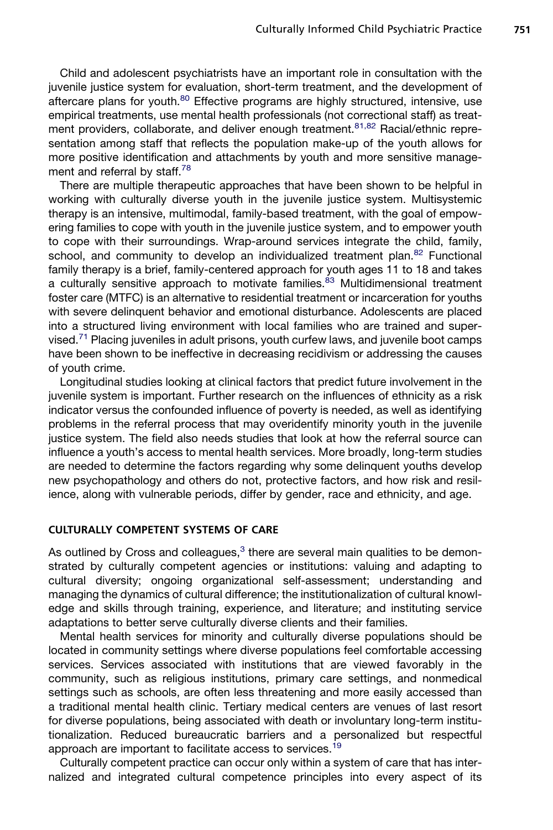Child and adolescent psychiatrists have an important role in consultation with the juvenile justice system for evaluation, short-term treatment, and the development of aftercare plans for youth.<sup>[80](#page-18-0)</sup> Effective programs are highly structured, intensive, use empirical treatments, use mental health professionals (not correctional staff) as treat-ment providers, collaborate, and deliver enough treatment.<sup>[81,82](#page-18-0)</sup> Racial/ethnic representation among staff that reflects the population make-up of the youth allows for more positive identification and attachments by youth and more sensitive manage-ment and referral by staff.<sup>[78](#page-17-0)</sup>

There are multiple therapeutic approaches that have been shown to be helpful in working with culturally diverse youth in the juvenile justice system. Multisystemic therapy is an intensive, multimodal, family-based treatment, with the goal of empowering families to cope with youth in the juvenile justice system, and to empower youth to cope with their surroundings. Wrap-around services integrate the child, family, school, and community to develop an individualized treatment plan.<sup>[82](#page-18-0)</sup> Functional family therapy is a brief, family-centered approach for youth ages 11 to 18 and takes a culturally sensitive approach to motivate families. $83$  Multidimensional treatment foster care (MTFC) is an alternative to residential treatment or incarceration for youths with severe delinquent behavior and emotional disturbance. Adolescents are placed into a structured living environment with local families who are trained and supervised. $71$  Placing juveniles in adult prisons, youth curfew laws, and juvenile boot camps have been shown to be ineffective in decreasing recidivism or addressing the causes of youth crime.

Longitudinal studies looking at clinical factors that predict future involvement in the juvenile system is important. Further research on the influences of ethnicity as a risk indicator versus the confounded influence of poverty is needed, as well as identifying problems in the referral process that may overidentify minority youth in the juvenile justice system. The field also needs studies that look at how the referral source can influence a youth's access to mental health services. More broadly, long-term studies are needed to determine the factors regarding why some delinquent youths develop new psychopathology and others do not, protective factors, and how risk and resilience, along with vulnerable periods, differ by gender, race and ethnicity, and age.

# CULTURALLY COMPETENT SYSTEMS OF CARE

As outlined by Cross and colleagues, $3$  there are several main qualities to be demonstrated by culturally competent agencies or institutions: valuing and adapting to cultural diversity; ongoing organizational self-assessment; understanding and managing the dynamics of cultural difference; the institutionalization of cultural knowledge and skills through training, experience, and literature; and instituting service adaptations to better serve culturally diverse clients and their families.

Mental health services for minority and culturally diverse populations should be located in community settings where diverse populations feel comfortable accessing services. Services associated with institutions that are viewed favorably in the community, such as religious institutions, primary care settings, and nonmedical settings such as schools, are often less threatening and more easily accessed than a traditional mental health clinic. Tertiary medical centers are venues of last resort for diverse populations, being associated with death or involuntary long-term institutionalization. Reduced bureaucratic barriers and a personalized but respectful approach are important to facilitate access to services.<sup>[19](#page-14-0)</sup>

Culturally competent practice can occur only within a system of care that has internalized and integrated cultural competence principles into every aspect of its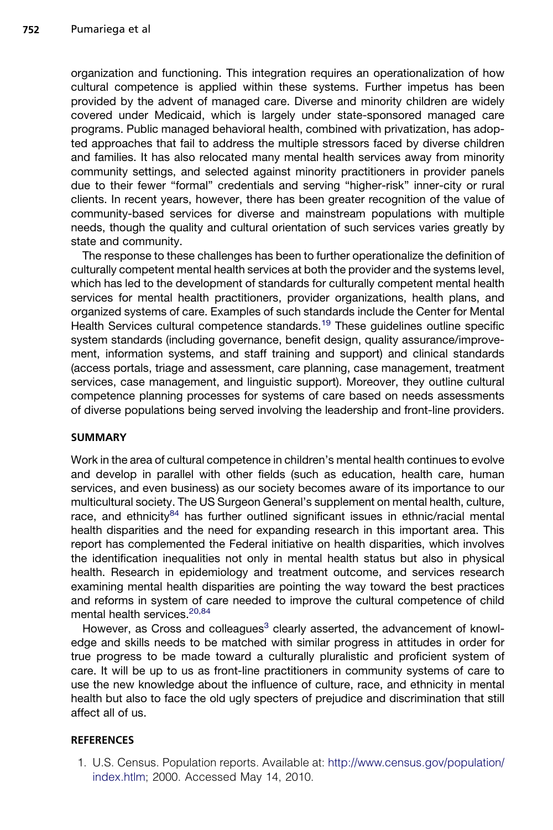<span id="page-13-0"></span>organization and functioning. This integration requires an operationalization of how cultural competence is applied within these systems. Further impetus has been provided by the advent of managed care. Diverse and minority children are widely covered under Medicaid, which is largely under state-sponsored managed care programs. Public managed behavioral health, combined with privatization, has adopted approaches that fail to address the multiple stressors faced by diverse children and families. It has also relocated many mental health services away from minority community settings, and selected against minority practitioners in provider panels due to their fewer "formal" credentials and serving "higher-risk" inner-city or rural clients. In recent years, however, there has been greater recognition of the value of community-based services for diverse and mainstream populations with multiple needs, though the quality and cultural orientation of such services varies greatly by state and community.

The response to these challenges has been to further operationalize the definition of culturally competent mental health services at both the provider and the systems level, which has led to the development of standards for culturally competent mental health services for mental health practitioners, provider organizations, health plans, and organized systems of care. Examples of such standards include the Center for Mental Health Services cultural competence standards.<sup>[19](#page-14-0)</sup> These quidelines outline specific system standards (including governance, benefit design, quality assurance/improvement, information systems, and staff training and support) and clinical standards (access portals, triage and assessment, care planning, case management, treatment services, case management, and linguistic support). Moreover, they outline cultural competence planning processes for systems of care based on needs assessments of diverse populations being served involving the leadership and front-line providers.

#### SUMMARY

Work in the area of cultural competence in children's mental health continues to evolve and develop in parallel with other fields (such as education, health care, human services, and even business) as our society becomes aware of its importance to our multicultural society. The US Surgeon General's supplement on mental health, culture, race, and ethnicity $84$  has further outlined significant issues in ethnic/racial mental health disparities and the need for expanding research in this important area. This report has complemented the Federal initiative on health disparities, which involves the identification inequalities not only in mental health status but also in physical health. Research in epidemiology and treatment outcome, and services research examining mental health disparities are pointing the way toward the best practices and reforms in system of care needed to improve the cultural competence of child mental health services.<sup>[20,84](#page-15-0)</sup>

However, as Cross and colleagues<sup>[3](#page-14-0)</sup> clearly asserted, the advancement of knowledge and skills needs to be matched with similar progress in attitudes in order for true progress to be made toward a culturally pluralistic and proficient system of care. It will be up to us as front-line practitioners in community systems of care to use the new knowledge about the influence of culture, race, and ethnicity in mental health but also to face the old ugly specters of prejudice and discrimination that still affect all of us.

#### **REFERENCES**

1. U.S. Census. Population reports. Available at: [http://www.census.gov/population/](http://www.census.gov/population/index.htlm) [index.htlm;](http://www.census.gov/population/index.htlm) 2000. Accessed May 14, 2010.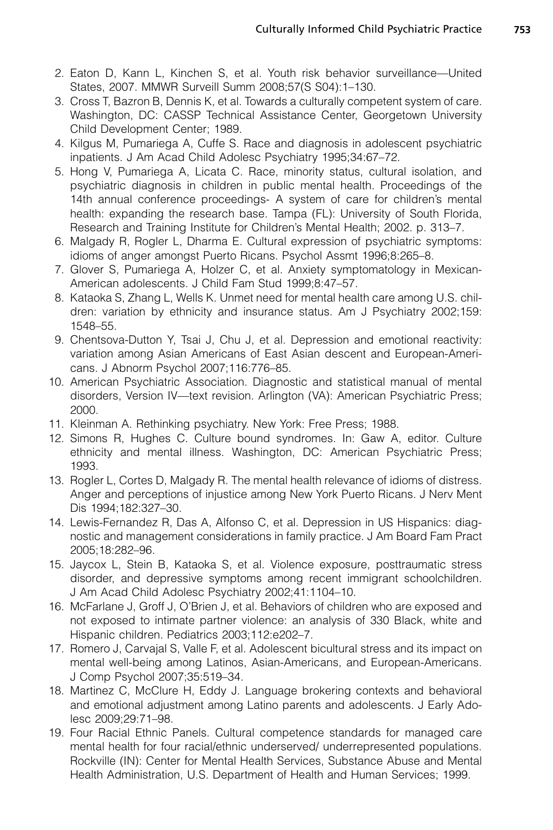- <span id="page-14-0"></span>2. Eaton D, Kann L, Kinchen S, et al. Youth risk behavior surveillance—United States, 2007. MMWR Surveill Summ 2008;57(S S04):1–130.
- 3. Cross T, Bazron B, Dennis K, et al. Towards a culturally competent system of care. Washington, DC: CASSP Technical Assistance Center, Georgetown University Child Development Center; 1989.
- 4. Kilgus M, Pumariega A, Cuffe S. Race and diagnosis in adolescent psychiatric inpatients. J Am Acad Child Adolesc Psychiatry 1995;34:67–72.
- 5. Hong V, Pumariega A, Licata C. Race, minority status, cultural isolation, and psychiatric diagnosis in children in public mental health. Proceedings of the 14th annual conference proceedings- A system of care for children's mental health: expanding the research base. Tampa (FL): University of South Florida, Research and Training Institute for Children's Mental Health; 2002. p. 313–7.
- 6. Malgady R, Rogler L, Dharma E. Cultural expression of psychiatric symptoms: idioms of anger amongst Puerto Ricans. Psychol Assmt 1996;8:265–8.
- 7. Glover S, Pumariega A, Holzer C, et al. Anxiety symptomatology in Mexican-American adolescents. J Child Fam Stud 1999;8:47–57.
- 8. Kataoka S, Zhang L, Wells K. Unmet need for mental health care among U.S. children: variation by ethnicity and insurance status. Am J Psychiatry 2002;159: 1548–55.
- 9. Chentsova-Dutton Y, Tsai J, Chu J, et al. Depression and emotional reactivity: variation among Asian Americans of East Asian descent and European-Americans. J Abnorm Psychol 2007;116:776–85.
- 10. American Psychiatric Association. Diagnostic and statistical manual of mental disorders, Version IV—text revision. Arlington (VA): American Psychiatric Press; 2000.
- 11. Kleinman A. Rethinking psychiatry. New York: Free Press; 1988.
- 12. Simons R, Hughes C. Culture bound syndromes. In: Gaw A, editor. Culture ethnicity and mental illness. Washington, DC: American Psychiatric Press; 1993.
- 13. Rogler L, Cortes D, Malgady R. The mental health relevance of idioms of distress. Anger and perceptions of injustice among New York Puerto Ricans. J Nerv Ment Dis 1994;182:327–30.
- 14. Lewis-Fernandez R, Das A, Alfonso C, et al. Depression in US Hispanics: diagnostic and management considerations in family practice. J Am Board Fam Pract 2005;18:282–96.
- 15. Jaycox L, Stein B, Kataoka S, et al. Violence exposure, posttraumatic stress disorder, and depressive symptoms among recent immigrant schoolchildren. J Am Acad Child Adolesc Psychiatry 2002;41:1104–10.
- 16. McFarlane J, Groff J, O'Brien J, et al. Behaviors of children who are exposed and not exposed to intimate partner violence: an analysis of 330 Black, white and Hispanic children. Pediatrics 2003;112:e202–7.
- 17. Romero J, Carvajal S, Valle F, et al. Adolescent bicultural stress and its impact on mental well-being among Latinos, Asian-Americans, and European-Americans. J Comp Psychol 2007;35:519–34.
- 18. Martinez C, McClure H, Eddy J. Language brokering contexts and behavioral and emotional adjustment among Latino parents and adolescents. J Early Adolesc 2009;29:71–98.
- 19. Four Racial Ethnic Panels. Cultural competence standards for managed care mental health for four racial/ethnic underserved/ underrepresented populations. Rockville (IN): Center for Mental Health Services, Substance Abuse and Mental Health Administration, U.S. Department of Health and Human Services; 1999.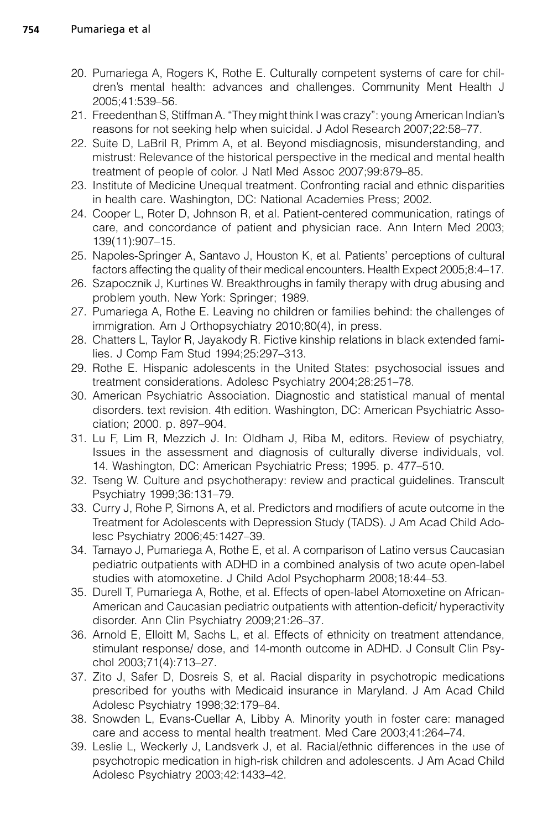- <span id="page-15-0"></span>20. Pumariega A, Rogers K, Rothe E. Culturally competent systems of care for children's mental health: advances and challenges. Community Ment Health J 2005;41:539–56.
- 21. Freedenthan S, Stiffman A. "They might think I was crazy": young American Indian's reasons for not seeking help when suicidal. J Adol Research 2007;22:58–77.
- 22. Suite D, LaBril R, Primm A, et al. Beyond misdiagnosis, misunderstanding, and mistrust: Relevance of the historical perspective in the medical and mental health treatment of people of color. J Natl Med Assoc 2007;99:879–85.
- 23. Institute of Medicine Unequal treatment. Confronting racial and ethnic disparities in health care. Washington, DC: National Academies Press; 2002.
- 24. Cooper L, Roter D, Johnson R, et al. Patient-centered communication, ratings of care, and concordance of patient and physician race. Ann Intern Med 2003; 139(11):907–15.
- 25. Napoles-Springer A, Santavo J, Houston K, et al. Patients' perceptions of cultural factors affecting the quality of their medical encounters. Health Expect 2005;8:4–17.
- 26. Szapocznik J, Kurtines W. Breakthroughs in family therapy with drug abusing and problem youth. New York: Springer; 1989.
- 27. Pumariega A, Rothe E. Leaving no children or families behind: the challenges of immigration. Am J Orthopsychiatry 2010;80(4), in press.
- 28. Chatters L, Taylor R, Jayakody R. Fictive kinship relations in black extended families. J Comp Fam Stud 1994;25:297–313.
- 29. Rothe E. Hispanic adolescents in the United States: psychosocial issues and treatment considerations. Adolesc Psychiatry 2004;28:251–78.
- 30. American Psychiatric Association. Diagnostic and statistical manual of mental disorders. text revision. 4th edition. Washington, DC: American Psychiatric Association; 2000. p. 897–904.
- 31. Lu F, Lim R, Mezzich J. In: Oldham J, Riba M, editors. Review of psychiatry, Issues in the assessment and diagnosis of culturally diverse individuals, vol. 14. Washington, DC: American Psychiatric Press; 1995. p. 477–510.
- 32. Tseng W. Culture and psychotherapy: review and practical guidelines. Transcult Psychiatry 1999;36:131–79.
- 33. Curry J, Rohe P, Simons A, et al. Predictors and modifiers of acute outcome in the Treatment for Adolescents with Depression Study (TADS). J Am Acad Child Adolesc Psychiatry 2006;45:1427–39.
- 34. Tamayo J, Pumariega A, Rothe E, et al. A comparison of Latino versus Caucasian pediatric outpatients with ADHD in a combined analysis of two acute open-label studies with atomoxetine. J Child Adol Psychopharm 2008;18:44–53.
- 35. Durell T, Pumariega A, Rothe, et al. Effects of open-label Atomoxetine on African-American and Caucasian pediatric outpatients with attention-deficit/ hyperactivity disorder. Ann Clin Psychiatry 2009;21:26–37.
- 36. Arnold E, Elloitt M, Sachs L, et al. Effects of ethnicity on treatment attendance, stimulant response/ dose, and 14-month outcome in ADHD. J Consult Clin Psychol 2003;71(4):713–27.
- 37. Zito J, Safer D, Dosreis S, et al. Racial disparity in psychotropic medications prescribed for youths with Medicaid insurance in Maryland. J Am Acad Child Adolesc Psychiatry 1998;32:179–84.
- 38. Snowden L, Evans-Cuellar A, Libby A. Minority youth in foster care: managed care and access to mental health treatment. Med Care 2003;41:264–74.
- 39. Leslie L, Weckerly J, Landsverk J, et al. Racial/ethnic differences in the use of psychotropic medication in high-risk children and adolescents. J Am Acad Child Adolesc Psychiatry 2003;42:1433–42.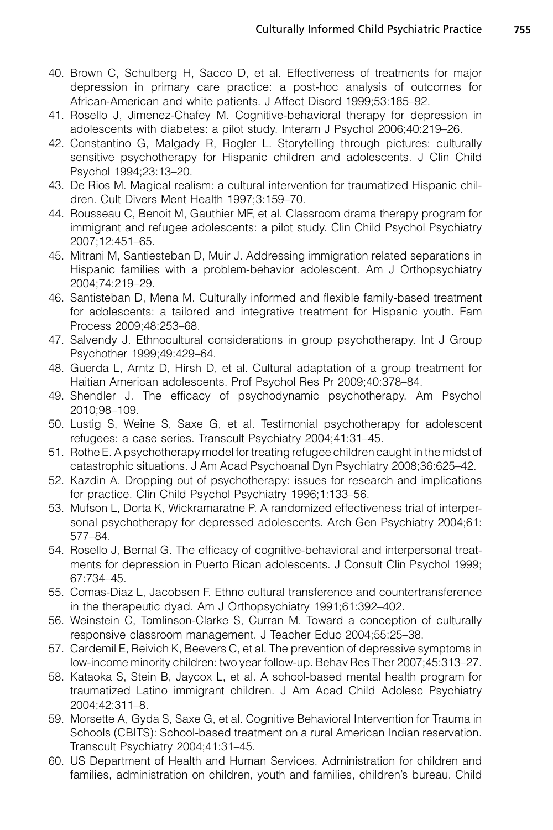- <span id="page-16-0"></span>40. Brown C, Schulberg H, Sacco D, et al. Effectiveness of treatments for major depression in primary care practice: a post-hoc analysis of outcomes for African-American and white patients. J Affect Disord 1999;53:185–92.
- 41. Rosello J, Jimenez-Chafey M. Cognitive-behavioral therapy for depression in adolescents with diabetes: a pilot study. Interam J Psychol 2006;40:219–26.
- 42. Constantino G, Malgady R, Rogler L. Storytelling through pictures: culturally sensitive psychotherapy for Hispanic children and adolescents. J Clin Child Psychol 1994;23:13–20.
- 43. De Rios M. Magical realism: a cultural intervention for traumatized Hispanic children. Cult Divers Ment Health 1997;3:159–70.
- 44. Rousseau C, Benoit M, Gauthier MF, et al. Classroom drama therapy program for immigrant and refugee adolescents: a pilot study. Clin Child Psychol Psychiatry 2007;12:451–65.
- 45. Mitrani M, Santiesteban D, Muir J. Addressing immigration related separations in Hispanic families with a problem-behavior adolescent. Am J Orthopsychiatry 2004;74:219–29.
- 46. Santisteban D, Mena M. Culturally informed and flexible family-based treatment for adolescents: a tailored and integrative treatment for Hispanic youth. Fam Process 2009;48:253–68.
- 47. Salvendy J. Ethnocultural considerations in group psychotherapy. Int J Group Psychother 1999;49:429–64.
- 48. Guerda L, Arntz D, Hirsh D, et al. Cultural adaptation of a group treatment for Haitian American adolescents. Prof Psychol Res Pr 2009;40:378–84.
- 49. Shendler J. The efficacy of psychodynamic psychotherapy. Am Psychol 2010;98–109.
- 50. Lustig S, Weine S, Saxe G, et al. Testimonial psychotherapy for adolescent refugees: a case series. Transcult Psychiatry 2004;41:31–45.
- 51. Rothe E. A psychotherapy model for treating refugee children caught in the midst of catastrophic situations. J Am Acad Psychoanal Dyn Psychiatry 2008;36:625–42.
- 52. Kazdin A. Dropping out of psychotherapy: issues for research and implications for practice. Clin Child Psychol Psychiatry 1996;1:133–56.
- 53. Mufson L, Dorta K, Wickramaratne P. A randomized effectiveness trial of interpersonal psychotherapy for depressed adolescents. Arch Gen Psychiatry 2004;61: 577–84.
- 54. Rosello J, Bernal G. The efficacy of cognitive-behavioral and interpersonal treatments for depression in Puerto Rican adolescents. J Consult Clin Psychol 1999; 67:734–45.
- 55. Comas-Diaz L, Jacobsen F. Ethno cultural transference and countertransference in the therapeutic dyad. Am J Orthopsychiatry 1991;61:392–402.
- 56. Weinstein C, Tomlinson-Clarke S, Curran M. Toward a conception of culturally responsive classroom management. J Teacher Educ 2004;55:25–38.
- 57. Cardemil E, Reivich K, Beevers C, et al. The prevention of depressive symptoms in low-income minority children: two year follow-up. Behav Res Ther 2007;45:313–27.
- 58. Kataoka S, Stein B, Jaycox L, et al. A school-based mental health program for traumatized Latino immigrant children. J Am Acad Child Adolesc Psychiatry 2004;42:311–8.
- 59. Morsette A, Gyda S, Saxe G, et al. Cognitive Behavioral Intervention for Trauma in Schools (CBITS): School-based treatment on a rural American Indian reservation. Transcult Psychiatry 2004;41:31–45.
- 60. US Department of Health and Human Services. Administration for children and families, administration on children, youth and families, children's bureau. Child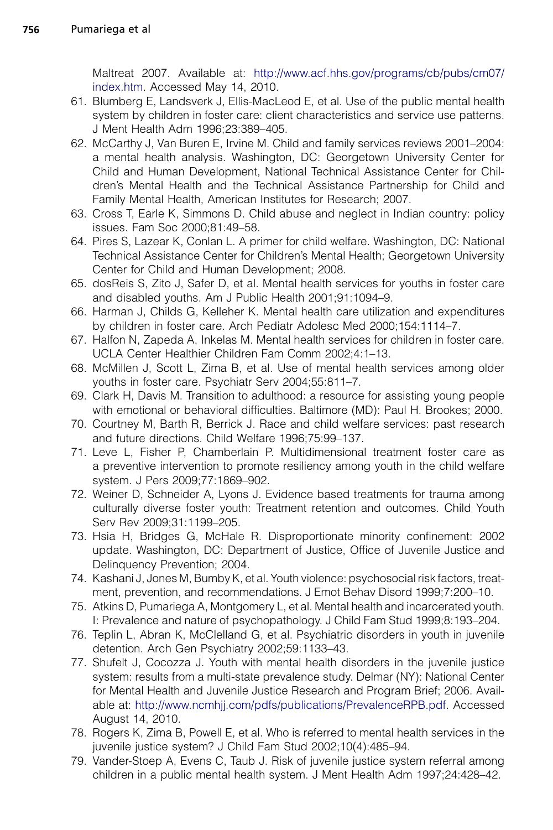<span id="page-17-0"></span>Maltreat 2007. Available at: [http://www.acf.hhs.gov/programs/cb/pubs/cm07/](http://www.acf.hhs.gov/programs/cb/pubs/cm07/index.htm) [index.htm.](http://www.acf.hhs.gov/programs/cb/pubs/cm07/index.htm) Accessed May 14, 2010.

- 61. Blumberg E, Landsverk J, Ellis-MacLeod E, et al. Use of the public mental health system by children in foster care: client characteristics and service use patterns. J Ment Health Adm 1996;23:389–405.
- 62. McCarthy J, Van Buren E, Irvine M. Child and family services reviews 2001–2004: a mental health analysis. Washington, DC: Georgetown University Center for Child and Human Development, National Technical Assistance Center for Children's Mental Health and the Technical Assistance Partnership for Child and Family Mental Health, American Institutes for Research; 2007.
- 63. Cross T, Earle K, Simmons D. Child abuse and neglect in Indian country: policy issues. Fam Soc 2000;81:49–58.
- 64. Pires S, Lazear K, Conlan L. A primer for child welfare. Washington, DC: National Technical Assistance Center for Children's Mental Health; Georgetown University Center for Child and Human Development; 2008.
- 65. dosReis S, Zito J, Safer D, et al. Mental health services for youths in foster care and disabled youths. Am J Public Health 2001;91:1094–9.
- 66. Harman J, Childs G, Kelleher K. Mental health care utilization and expenditures by children in foster care. Arch Pediatr Adolesc Med 2000;154:1114–7.
- 67. Halfon N, Zapeda A, Inkelas M. Mental health services for children in foster care. UCLA Center Healthier Children Fam Comm 2002;4:1–13.
- 68. McMillen J, Scott L, Zima B, et al. Use of mental health services among older youths in foster care. Psychiatr Serv 2004;55:811–7.
- 69. Clark H, Davis M. Transition to adulthood: a resource for assisting young people with emotional or behavioral difficulties. Baltimore (MD): Paul H. Brookes; 2000.
- 70. Courtney M, Barth R, Berrick J. Race and child welfare services: past research and future directions. Child Welfare 1996;75:99–137.
- 71. Leve L, Fisher P, Chamberlain P. Multidimensional treatment foster care as a preventive intervention to promote resiliency among youth in the child welfare system. J Pers 2009;77:1869–902.
- 72. Weiner D, Schneider A, Lyons J. Evidence based treatments for trauma among culturally diverse foster youth: Treatment retention and outcomes. Child Youth Serv Rev 2009;31:1199–205.
- 73. Hsia H, Bridges G, McHale R. Disproportionate minority confinement: 2002 update. Washington, DC: Department of Justice, Office of Juvenile Justice and Delinquency Prevention; 2004.
- 74. Kashani J, Jones M, Bumby K, et al. Youth violence: psychosocial risk factors, treatment, prevention, and recommendations. J Emot Behav Disord 1999;7:200–10.
- 75. Atkins D, Pumariega A, Montgomery L, et al. Mental health and incarcerated youth. I: Prevalence and nature of psychopathology. J Child Fam Stud 1999;8:193–204.
- 76. Teplin L, Abran K, McClelland G, et al. Psychiatric disorders in youth in juvenile detention. Arch Gen Psychiatry 2002;59:1133–43.
- 77. Shufelt J, Cocozza J. Youth with mental health disorders in the juvenile justice system: results from a multi-state prevalence study. Delmar (NY): National Center for Mental Health and Juvenile Justice Research and Program Brief; 2006. Available at: <http://www.ncmhjj.com/pdfs/publications/PrevalenceRPB.pdf>. Accessed August 14, 2010.
- 78. Rogers K, Zima B, Powell E, et al. Who is referred to mental health services in the juvenile justice system? J Child Fam Stud 2002;10(4):485–94.
- 79. Vander-Stoep A, Evens C, Taub J. Risk of juvenile justice system referral among children in a public mental health system. J Ment Health Adm 1997;24:428–42.